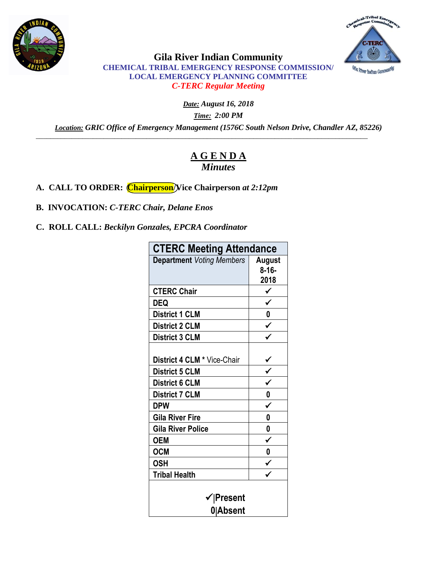



**Gila River Indian Community CHEMICAL TRIBAL EMERGENCY RESPONSE COMMISSION/ LOCAL EMERGENCY PLANNING COMMITTEE** *C-TERC Regular Meeting* 

*Date: August 16, 2018*

*Time: 2:00 PM*

*Location: GRIC Office of Emergency Management (1576C South Nelson Drive, Chandler AZ, 85226)* \_\_\_\_\_\_\_\_\_\_\_\_\_\_\_\_\_\_\_\_\_\_\_\_\_\_\_\_\_\_\_\_\_\_\_\_\_\_\_\_\_\_\_\_\_\_\_\_\_\_\_\_\_\_\_\_\_\_\_\_\_\_\_\_\_\_\_\_\_\_\_\_\_\_\_\_\_\_\_\_\_\_\_\_\_\_\_\_\_\_\_\_\_

# **A G E N D A** *Minutes*

**A. CALL TO ORDER: Chairperson/Vice Chairperson** *at 2:12pm*

**B. INVOCATION:** *C-TERC Chair, Delane Enos*

**C. ROLL CALL:** *Beckilyn Gonzales, EPCRA Coordinator*

| <b>CTERC Meeting Attendance</b>  |                              |
|----------------------------------|------------------------------|
| <b>Department Voting Members</b> | August<br>$8 - 16 -$<br>2018 |
| <b>CTERC Chair</b>               | $\checkmark$                 |
| <b>DEQ</b>                       |                              |
| <b>District 1 CLM</b>            | 0                            |
| <b>District 2 CLM</b>            | $\checkmark$                 |
| <b>District 3 CLM</b>            |                              |
| District 4 CLM * Vice-Chair      |                              |
| <b>District 5 CLM</b>            | $rac{1}{\sqrt{2}}$           |
| <b>District 6 CLM</b>            |                              |
| <b>District 7 CLM</b>            | $\overline{\mathbf{0}}$      |
| <b>DPW</b>                       | $\checkmark$                 |
| <b>Gila River Fire</b>           | 0                            |
| <b>Gila River Police</b>         | 0                            |
| <b>OEM</b>                       | $\checkmark$                 |
| <b>OCM</b>                       | $\boldsymbol{0}$             |
| <b>OSH</b>                       | $\frac{1}{\sqrt{2}}$         |
| <b>Tribal Health</b>             |                              |
| ✔ ∣Present<br>0 Absent           |                              |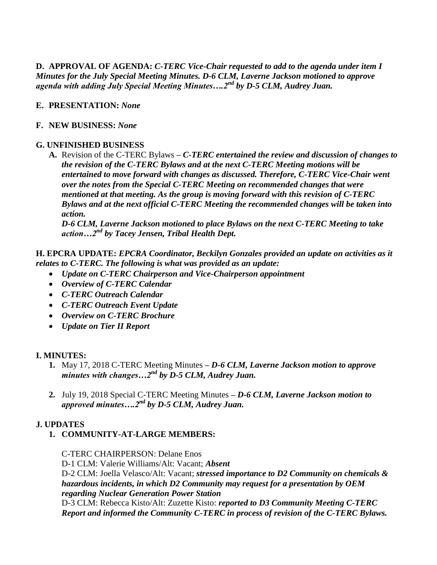**D. APPROVAL OF AGENDA:** *C-TERC Vice-Chair requested to add to the agenda under item I Minutes for the July Special Meeting Minutes. D-6 CLM, Laverne Jackson motioned to approve agenda with adding July Special Meeting Minutes….2nd by D-5 CLM, Audrey Juan.* 

## **E. PRESENTATION:** *None*

#### **F. NEW BUSINESS:** *None*

## **G. UNFINISHED BUSINESS**

**A.** Revision of the C-TERC Bylaws **–** *C-TERC entertained the review and discussion of changes to the revision of the C-TERC Bylaws and at the next C-TERC Meeting motions will be entertained to move forward with changes as discussed. Therefore, C-TERC Vice-Chair went over the notes from the Special C-TERC Meeting on recommended changes that were mentioned at that meeting. As the group is moving forward with this revision of C-TERC Bylaws and at the next official C-TERC Meeting the recommended changes will be taken into action.* 

*D-6 CLM, Laverne Jackson motioned to place Bylaws on the next C-TERC Meeting to take action…2nd by Tacey Jensen, Tribal Health Dept.*

**H. EPCRA UPDATE:** *EPCRA Coordinator, Beckilyn Gonzales provided an update on activities as it relates to C-TERC. The following is what was provided as an update:*

- *Update on C-TERC Chairperson and Vice-Chairperson appointment*
- *Overview of C-TERC Calendar*
- *C-TERC Outreach Calendar*
- *C-TERC Outreach Event Update*
- *Overview on C-TERC Brochure*
- *Update on Tier II Report*

#### **I. MINUTES:**

- **1.** May 17, 2018 C-TERC Meeting Minutes **–** *D-6 CLM, Laverne Jackson motion to approve minutes with changes…2nd by D-5 CLM, Audrey Juan.*
- **2.** July 19, 2018 Special C-TERC Meeting Minutes **–** *D-6 CLM, Laverne Jackson motion to approved minutes….2nd by D-5 CLM, Audrey Juan.*

# **J. UPDATES**

**1. COMMUNITY-AT-LARGE MEMBERS:**

C-TERC CHAIRPERSON: Delane Enos

D-1 CLM: Valerie Williams/Alt: Vacant; *Absent*

D-2 CLM: Joella Velasco/Alt: Vacant; *stressed importance to D2 Community on chemicals & hazardous incidents, in which D2 Community may request for a presentation by OEM regarding Nuclear Generation Power Station*

D-3 CLM: Rebecca Kisto/Alt: Zuzette Kisto: *reported to D3 Community Meeting C-TERC Report and informed the Community C-TERC in process of revision of the C-TERC Bylaws.*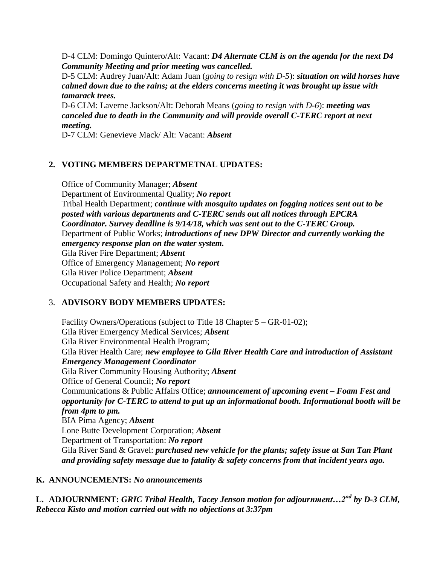D-4 CLM: Domingo Quintero/Alt: Vacant: *D4 Alternate CLM is on the agenda for the next D4 Community Meeting and prior meeting was cancelled.*

D-5 CLM: Audrey Juan/Alt: Adam Juan (*going to resign with D-5*): *situation on wild horses have calmed down due to the rains; at the elders concerns meeting it was brought up issue with tamarack trees.*

D-6 CLM: Laverne Jackson/Alt: Deborah Means (*going to resign with D-6*): *meeting was canceled due to death in the Community and will provide overall C-TERC report at next meeting.*

D-7 CLM: Genevieve Mack/ Alt: Vacant: *Absent*

## **2. VOTING MEMBERS DEPARTMETNAL UPDATES:**

Office of Community Manager; *Absent* Department of Environmental Quality; *No report* Tribal Health Department; *continue with mosquito updates on fogging notices sent out to be posted with various departments and C-TERC sends out all notices through EPCRA Coordinator. Survey deadline is 9/14/18, which was sent out to the C-TERC Group.*  Department of Public Works; *introductions of new DPW Director and currently working the emergency response plan on the water system.* Gila River Fire Department; *Absent* Office of Emergency Management; *No report* Gila River Police Department; *Absent* Occupational Safety and Health; *No report*

# 3. **ADVISORY BODY MEMBERS UPDATES:**

Facility Owners/Operations (subject to Title 18 Chapter 5 – GR-01-02); Gila River Emergency Medical Services; *Absent* Gila River Environmental Health Program; Gila River Health Care; *new employee to Gila River Health Care and introduction of Assistant Emergency Management Coordinator* Gila River Community Housing Authority; *Absent* Office of General Council; *No report* Communications & Public Affairs Office; *announcement of upcoming event – Foam Fest and opportunity for C-TERC to attend to put up an informational booth. Informational booth will be from 4pm to pm.* BIA Pima Agency; *Absent* Lone Butte Development Corporation; *Absent* Department of Transportation: *No report* Gila River Sand & Gravel: *purchased new vehicle for the plants; safety issue at San Tan Plant and providing safety message due to fatality & safety concerns from that incident years ago.* 

#### **K. ANNOUNCEMENTS:** *No announcements*

**L. ADJOURNMENT:** *GRIC Tribal Health, Tacey Jenson motion for adjournment…2nd by D-3 CLM, Rebecca Kisto and motion carried out with no objections at 3:37pm*